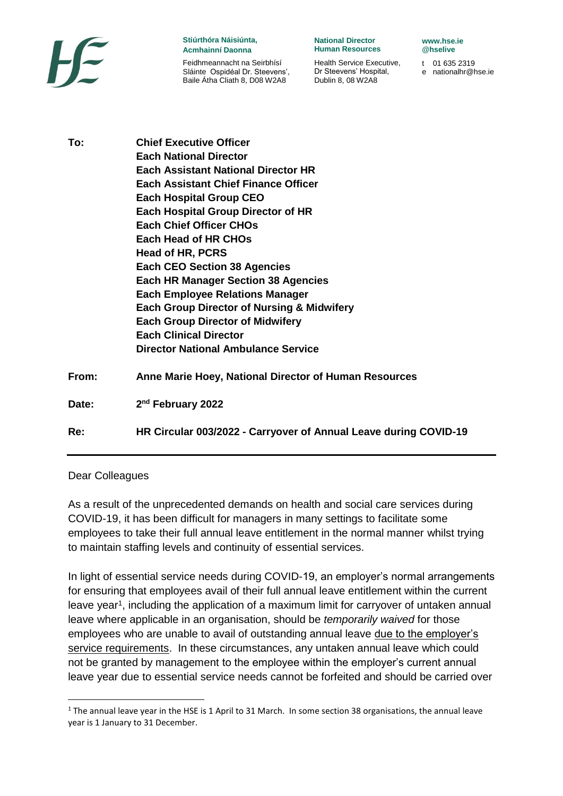

## **Stiúrthóra Náisiúnta, Acmhainní Daonna**

Feidhmeannacht na Seirbhísí Sláinte Ospidéal Dr. Steevens', Baile Átha Cliath 8, D08 W2A8

**National Director Human Resources** 

Health Service Executive, Dr Steevens' Hospital, Dublin 8, 08 W2A8

**www.hse.ie @hselive** 

t 01 635 2319 e nationalhr@hse.ie

**To: Chief Executive Officer Each National Director Each Assistant National Director HR Each Assistant Chief Finance Officer Each Hospital Group CEO Each Hospital Group Director of HR Each Chief Officer CHOs Each Head of HR CHOs Head of HR, PCRS Each CEO Section 38 Agencies Each HR Manager Section 38 Agencies Each Employee Relations Manager Each Group Director of Nursing & Midwifery Each Group Director of Midwifery Each Clinical Director Director National Ambulance Service From: Anne Marie Hoey, National Director of Human Resources** Date: **nd February 2022 Re: HR Circular 003/2022 - Carryover of Annual Leave during COVID-19**

## Dear Colleagues

1

As a result of the unprecedented demands on health and social care services during COVID-19, it has been difficult for managers in many settings to facilitate some employees to take their full annual leave entitlement in the normal manner whilst trying to maintain staffing levels and continuity of essential services.

In light of essential service needs during COVID-19, an employer's normal arrangements for ensuring that employees avail of their full annual leave entitlement within the current leave year<sup>1</sup>, including the application of a maximum limit for carryover of untaken annual leave where applicable in an organisation, should be *temporarily waived* for those employees who are unable to avail of outstanding annual leave due to the employer's service requirements. In these circumstances, any untaken annual leave which could not be granted by management to the employee within the employer's current annual leave year due to essential service needs cannot be forfeited and should be carried over

 $1$  The annual leave year in the HSE is 1 April to 31 March. In some section 38 organisations, the annual leave year is 1 January to 31 December.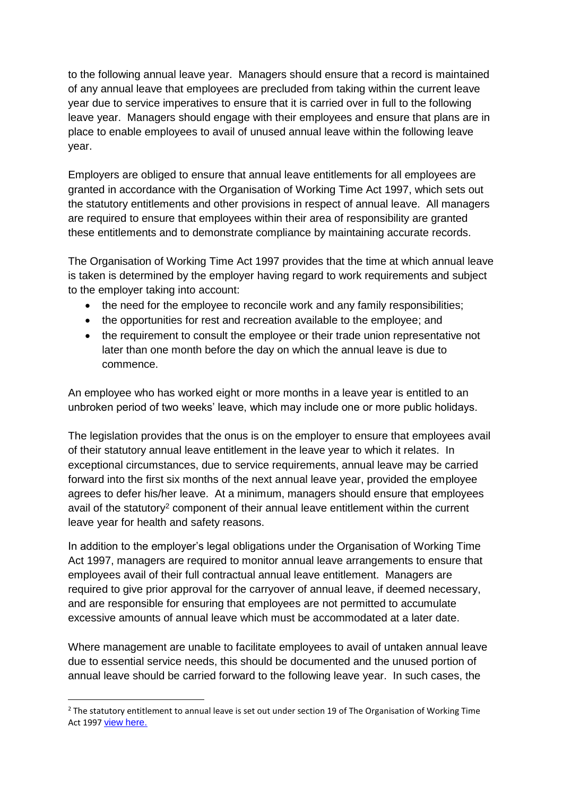to the following annual leave year. Managers should ensure that a record is maintained of any annual leave that employees are precluded from taking within the current leave year due to service imperatives to ensure that it is carried over in full to the following leave year. Managers should engage with their employees and ensure that plans are in place to enable employees to avail of unused annual leave within the following leave year.

Employers are obliged to ensure that annual leave entitlements for all employees are granted in accordance with the Organisation of Working Time Act 1997, which sets out the statutory entitlements and other provisions in respect of annual leave. All managers are required to ensure that employees within their area of responsibility are granted these entitlements and to demonstrate compliance by maintaining accurate records.

The Organisation of Working Time Act 1997 provides that the time at which annual leave is taken is determined by the employer having regard to work requirements and subject to the employer taking into account:

- the need for the employee to reconcile work and any family responsibilities;
- the opportunities for rest and recreation available to the employee; and
- the requirement to consult the employee or their trade union representative not later than one month before the day on which the annual leave is due to commence.

An employee who has worked eight or more months in a leave year is entitled to an unbroken period of two weeks' leave, which may include one or more public holidays.

The legislation provides that the onus is on the employer to ensure that employees avail of their statutory annual leave entitlement in the leave year to which it relates. In exceptional circumstances, due to service requirements, annual leave may be carried forward into the first six months of the next annual leave year, provided the employee agrees to defer his/her leave. At a minimum, managers should ensure that employees avail of the statutory<sup>2</sup> component of their annual leave entitlement within the current leave year for health and safety reasons.

In addition to the employer's legal obligations under the Organisation of Working Time Act 1997, managers are required to monitor annual leave arrangements to ensure that employees avail of their full contractual annual leave entitlement. Managers are required to give prior approval for the carryover of annual leave, if deemed necessary, and are responsible for ensuring that employees are not permitted to accumulate excessive amounts of annual leave which must be accommodated at a later date.

Where management are unable to facilitate employees to avail of untaken annual leave due to essential service needs, this should be documented and the unused portion of annual leave should be carried forward to the following leave year. In such cases, the

<sup>1</sup>  $<sup>2</sup>$  The statutory entitlement to annual leave is set out under section 19 of The Organisation of Working Time</sup> Act 1997 [view here.](https://revisedacts.lawreform.ie/eli/1997/act/20/section/19/revised/en/html)